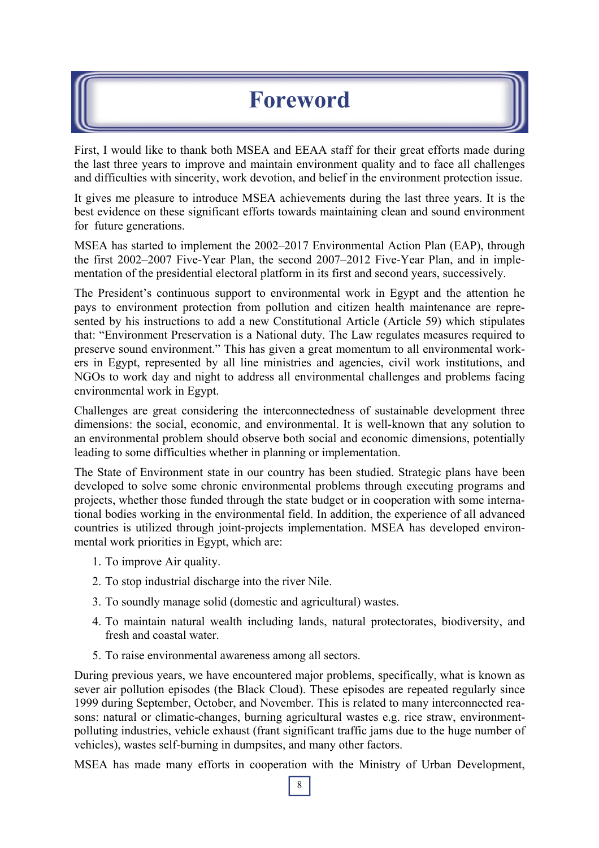## **Foreword**

First, I would like to thank both MSEA and EEAA staff for their great efforts made during the last three years to improve and maintain environment quality and to face all challenges and difficulties with sincerity, work devotion, and belief in the environment protection issue.

It gives me pleasure to introduce MSEA achievements during the last three years. It is the best evidence on these significant efforts towards maintaining clean and sound environment for future generations.

MSEA has started to implement the 2002–2017 Environmental Action Plan (EAP), through the first 2002–2007 Five-Year Plan, the second 2007–2012 Five-Year Plan, and in implementation of the presidential electoral platform in its first and second years, successively.

The President's continuous support to environmental work in Egypt and the attention he pays to environment protection from pollution and citizen health maintenance are represented by his instructions to add a new Constitutional Article (Article 59) which stipulates that: "Environment Preservation is a National duty. The Law regulates measures required to preserve sound environment." This has given a great momentum to all environmental workers in Egypt, represented by all line ministries and agencies, civil work institutions, and NGOs to work day and night to address all environmental challenges and problems facing environmental work in Egypt.

Challenges are great considering the interconnectedness of sustainable development three dimensions: the social, economic, and environmental. It is well-known that any solution to an environmental problem should observe both social and economic dimensions, potentially leading to some difficulties whether in planning or implementation.

The State of Environment state in our country has been studied. Strategic plans have been developed to solve some chronic environmental problems through executing programs and projects, whether those funded through the state budget or in cooperation with some international bodies working in the environmental field. In addition, the experience of all advanced countries is utilized through joint-projects implementation. MSEA has developed environmental work priorities in Egypt, which are:

- 1. To improve Air quality.
- 2. To stop industrial discharge into the river Nile.
- 3. To soundly manage solid (domestic and agricultural) wastes.
- 4. To maintain natural wealth including lands, natural protectorates, biodiversity, and fresh and coastal water.
- 5. To raise environmental awareness among all sectors.

During previous years, we have encountered major problems, specifically, what is known as sever air pollution episodes (the Black Cloud). These episodes are repeated regularly since 1999 during September, October, and November. This is related to many interconnected reasons: natural or climatic-changes, burning agricultural wastes e.g. rice straw, environmentpolluting industries, vehicle exhaust (frant significant traffic jams due to the huge number of vehicles), wastes self-burning in dumpsites, and many other factors.

8 MSEA has made many efforts in cooperation with the Ministry of Urban Development,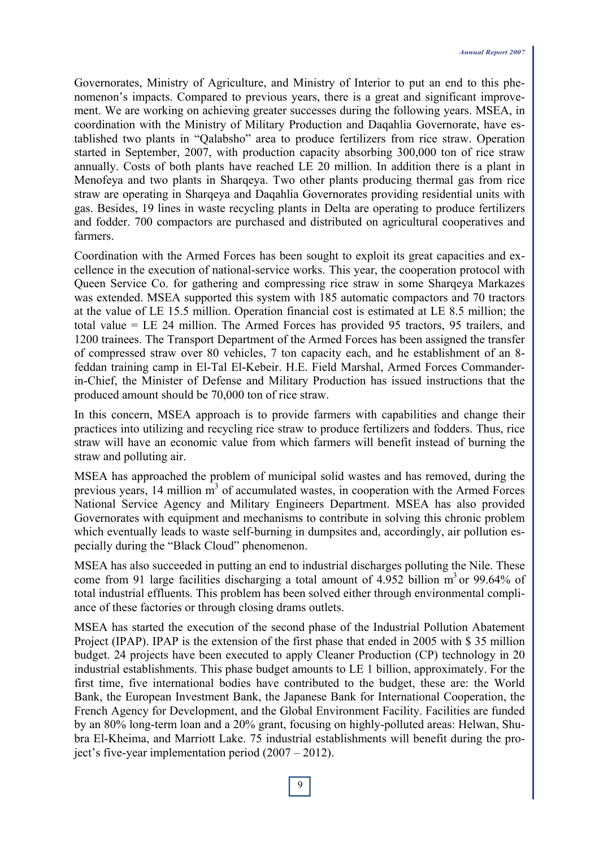Governorates, Ministry of Agriculture, and Ministry of Interior to put an end to this phenomenon's impacts. Compared to previous years, there is a great and significant improvement. We are working on achieving greater successes during the following years. MSEA, in coordination with the Ministry of Military Production and Daqahlia Governorate, have established two plants in "Qalabsho" area to produce fertilizers from rice straw. Operation started in September, 2007, with production capacity absorbing 300,000 ton of rice straw annually. Costs of both plants have reached LE 20 million. In addition there is a plant in Menofeya and two plants in Sharqeya. Two other plants producing thermal gas from rice straw are operating in Sharqeya and Daqahlia Governorates providing residential units with gas. Besides, 19 lines in waste recycling plants in Delta are operating to produce fertilizers and fodder. 700 compactors are purchased and distributed on agricultural cooperatives and farmers.

Coordination with the Armed Forces has been sought to exploit its great capacities and excellence in the execution of national-service works. This year, the cooperation protocol with Queen Service Co. for gathering and compressing rice straw in some Sharqeya Markazes was extended. MSEA supported this system with 185 automatic compactors and 70 tractors at the value of LE 15.5 million. Operation financial cost is estimated at LE 8.5 million; the total value = LE 24 million. The Armed Forces has provided 95 tractors, 95 trailers, and 1200 trainees. The Transport Department of the Armed Forces has been assigned the transfer of compressed straw over 80 vehicles, 7 ton capacity each, and he establishment of an 8 feddan training camp in El-Tal El-Kebeir. H.E. Field Marshal, Armed Forces Commanderin-Chief, the Minister of Defense and Military Production has issued instructions that the produced amount should be 70,000 ton of rice straw.

In this concern, MSEA approach is to provide farmers with capabilities and change their practices into utilizing and recycling rice straw to produce fertilizers and fodders. Thus, rice straw will have an economic value from which farmers will benefit instead of burning the straw and polluting air.

MSEA has approached the problem of municipal solid wastes and has removed, during the previous years, 14 million  $\overline{m}^3$  of accumulated wastes, in cooperation with the Armed Forces National Service Agency and Military Engineers Department. MSEA has also provided Governorates with equipment and mechanisms to contribute in solving this chronic problem which eventually leads to waste self-burning in dumpsites and, accordingly, air pollution especially during the "Black Cloud" phenomenon.

MSEA has also succeeded in putting an end to industrial discharges polluting the Nile. These come from 91 large facilities discharging a total amount of 4.952 billion  $m<sup>3</sup>$  or 99.64% of total industrial effluents. This problem has been solved either through environmental compliance of these factories or through closing drams outlets.

MSEA has started the execution of the second phase of the Industrial Pollution Abatement Project (IPAP). IPAP is the extension of the first phase that ended in 2005 with \$ 35 million budget. 24 projects have been executed to apply Cleaner Production (CP) technology in 20 industrial establishments. This phase budget amounts to LE 1 billion, approximately. For the first time, five international bodies have contributed to the budget, these are: the World Bank, the European Investment Bank, the Japanese Bank for International Cooperation, the French Agency for Development, and the Global Environment Facility. Facilities are funded by an 80% long-term loan and a 20% grant, focusing on highly-polluted areas: Helwan, Shubra El-Kheima, and Marriott Lake. 75 industrial establishments will benefit during the project's five-year implementation period (2007 – 2012).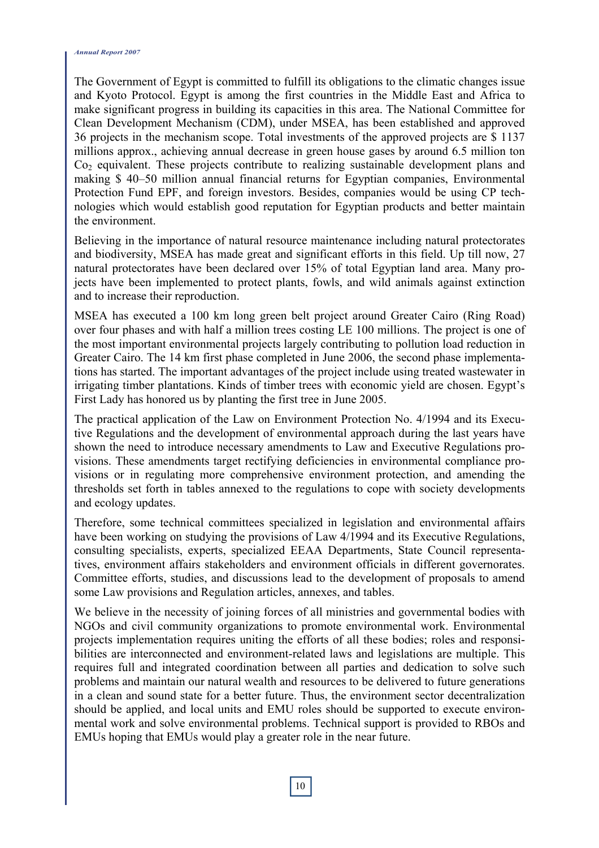The Government of Egypt is committed to fulfill its obligations to the climatic changes issue and Kyoto Protocol. Egypt is among the first countries in the Middle East and Africa to make significant progress in building its capacities in this area. The National Committee for Clean Development Mechanism (CDM), under MSEA, has been established and approved 36 projects in the mechanism scope. Total investments of the approved projects are \$ 1137 millions approx., achieving annual decrease in green house gases by around 6.5 million ton Co2 equivalent. These projects contribute to realizing sustainable development plans and making \$ 40–50 million annual financial returns for Egyptian companies, Environmental Protection Fund EPF, and foreign investors. Besides, companies would be using CP technologies which would establish good reputation for Egyptian products and better maintain the environment.

Believing in the importance of natural resource maintenance including natural protectorates and biodiversity, MSEA has made great and significant efforts in this field. Up till now, 27 natural protectorates have been declared over 15% of total Egyptian land area. Many projects have been implemented to protect plants, fowls, and wild animals against extinction and to increase their reproduction.

MSEA has executed a 100 km long green belt project around Greater Cairo (Ring Road) over four phases and with half a million trees costing LE 100 millions. The project is one of the most important environmental projects largely contributing to pollution load reduction in Greater Cairo. The 14 km first phase completed in June 2006, the second phase implementations has started. The important advantages of the project include using treated wastewater in irrigating timber plantations. Kinds of timber trees with economic yield are chosen. Egypt's First Lady has honored us by planting the first tree in June 2005.

The practical application of the Law on Environment Protection No. 4/1994 and its Executive Regulations and the development of environmental approach during the last years have shown the need to introduce necessary amendments to Law and Executive Regulations provisions. These amendments target rectifying deficiencies in environmental compliance provisions or in regulating more comprehensive environment protection, and amending the thresholds set forth in tables annexed to the regulations to cope with society developments and ecology updates.

Therefore, some technical committees specialized in legislation and environmental affairs have been working on studying the provisions of Law 4/1994 and its Executive Regulations, consulting specialists, experts, specialized EEAA Departments, State Council representatives, environment affairs stakeholders and environment officials in different governorates. Committee efforts, studies, and discussions lead to the development of proposals to amend some Law provisions and Regulation articles, annexes, and tables.

We believe in the necessity of joining forces of all ministries and governmental bodies with NGOs and civil community organizations to promote environmental work. Environmental projects implementation requires uniting the efforts of all these bodies; roles and responsibilities are interconnected and environment-related laws and legislations are multiple. This requires full and integrated coordination between all parties and dedication to solve such problems and maintain our natural wealth and resources to be delivered to future generations in a clean and sound state for a better future. Thus, the environment sector decentralization should be applied, and local units and EMU roles should be supported to execute environmental work and solve environmental problems. Technical support is provided to RBOs and EMUs hoping that EMUs would play a greater role in the near future.